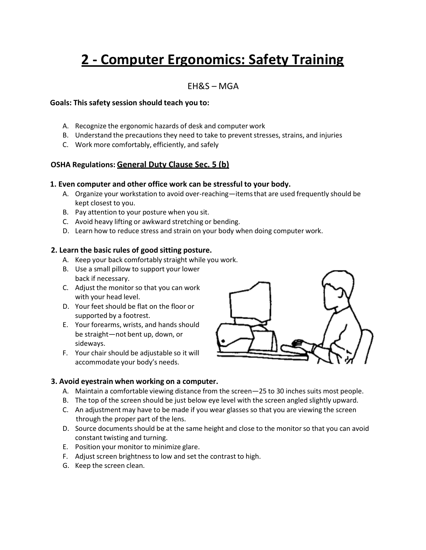# **2 - Computer Ergonomics: Safety Training**

### EH&S – MGA

#### **Goals: This safety session should teach you to:**

- A. Recognize the ergonomic hazards of desk and computer work
- B. Understand the precautions they need to take to prevent stresses, strains, and injuries
- C. Work more comfortably, efficiently, and safely

#### **OSHA Regulations: General Duty Clause Sec. 5 (b)**

#### **1. Even computer and other office work can be stressful to your body.**

- A. Organize your workstation to avoid over-reaching—itemsthat are used frequently should be kept closest to you.
- B. Pay attention to your posture when you sit.
- C. Avoid heavy lifting or awkward stretching or bending.
- D. Learn how to reduce stress and strain on your body when doing computer work.

#### **2. Learn the basic rules of good sitting posture.**

- A. Keep your back comfortably straight while you work.
- B. Use a small pillow to support your lower back if necessary.
- C. Adjust the monitor so that you can work with your head level.
- D. Your feet should be flat on the floor or supported by a footrest.
- E. Your forearms, wrists, and hands should be straight—not bent up, down, or sideways.
- F. Your chair should be adjustable so it will accommodate your body's needs.



#### **3. Avoid eyestrain when working on a computer.**

- A. Maintain a comfortable viewing distance from the screen—25 to 30 inches suits most people.
- B. The top of the screen should be just below eye level with the screen angled slightly upward.
- C. An adjustment may have to be made if you wear glasses so that you are viewing the screen through the proper part of the lens.
- D. Source documents should be at the same height and close to the monitor so that you can avoid constant twisting and turning.
- E. Position your monitor to minimize glare.
- F. Adjust screen brightnessto low and set the contrast to high.
- G. Keep the screen clean.